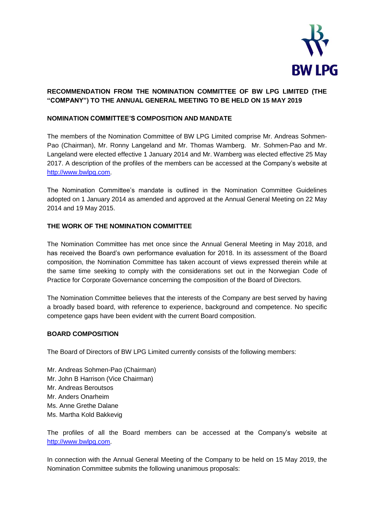

# **RECOMMENDATION FROM THE NOMINATION COMMITTEE OF BW LPG LIMITED (THE "COMPANY") TO THE ANNUAL GENERAL MEETING TO BE HELD ON 15 MAY 2019**

# **NOMINATION COMMITTEE'S COMPOSITION AND MANDATE**

The members of the Nomination Committee of BW LPG Limited comprise Mr. Andreas Sohmen-Pao (Chairman), Mr. Ronny Langeland and Mr. Thomas Wamberg. Mr. Sohmen-Pao and Mr. Langeland were elected effective 1 January 2014 and Mr. Wamberg was elected effective 25 May 2017. A description of the profiles of the members can be accessed at the Company's website at [http://www.bwlpg.com.](http://www.bwlpg.com/)

The Nomination Committee's mandate is outlined in the Nomination Committee Guidelines adopted on 1 January 2014 as amended and approved at the Annual General Meeting on 22 May 2014 and 19 May 2015.

# **THE WORK OF THE NOMINATION COMMITTEE**

The Nomination Committee has met once since the Annual General Meeting in May 2018, and has received the Board's own performance evaluation for 2018. In its assessment of the Board composition, the Nomination Committee has taken account of views expressed therein while at the same time seeking to comply with the considerations set out in the Norwegian Code of Practice for Corporate Governance concerning the composition of the Board of Directors.

The Nomination Committee believes that the interests of the Company are best served by having a broadly based board, with reference to experience, background and competence. No specific competence gaps have been evident with the current Board composition.

### **BOARD COMPOSITION**

The Board of Directors of BW LPG Limited currently consists of the following members:

Mr. Andreas Sohmen-Pao (Chairman) Mr. John B Harrison (Vice Chairman) Mr. Andreas Beroutsos Mr. Anders Onarheim Ms. Anne Grethe Dalane Ms. Martha Kold Bakkevig

The profiles of all the Board members can be accessed at the Company's website at [http://www.bwlpg.com.](http://www.bwlpg.com/)

In connection with the Annual General Meeting of the Company to be held on 15 May 2019, the Nomination Committee submits the following unanimous proposals: